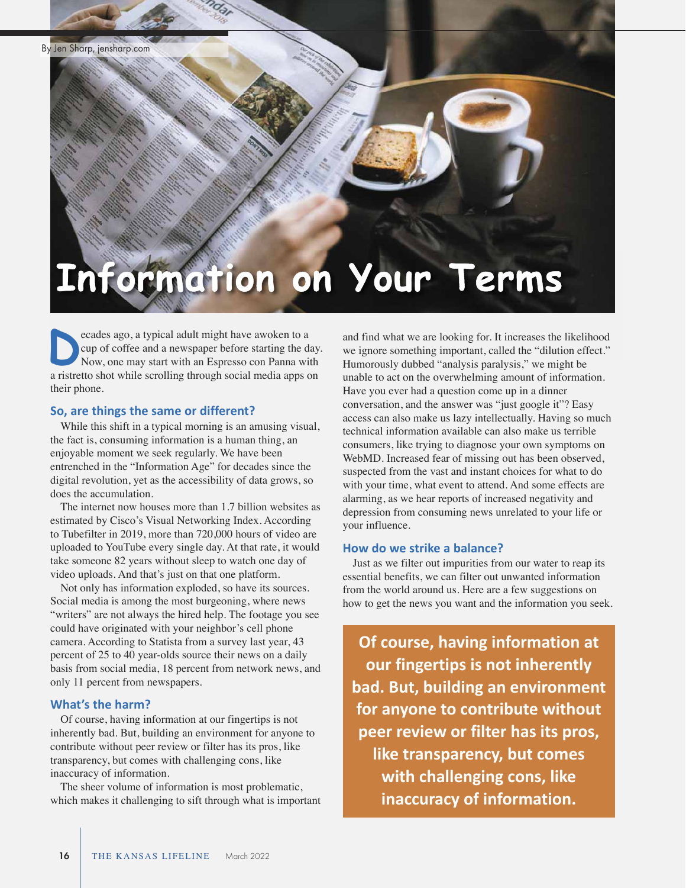# **Information on Your Terms**

ecades ago, a typical adult might have awoken to a cup of coffee and a newspaper before starting the day. Now, one may start with an Espresso con Panna with a ristretto shot while scrolling through social media apps on their phone. **D**

#### **So, are things the same or different?**

While this shift in a typical morning is an amusing visual, the fact is, consuming information is a human thing, an enjoyable moment we seek regularly. We have been entrenched in the "Information Age" for decades since the digital revolution, yet as the accessibility of data grows, so does the accumulation.

The internet now houses more than 1.7 billion websites as estimated by Cisco's Visual Networking Index. According to Tubefilter in 2019, more than 720,000 hours of video are uploaded to YouTube every single day. At that rate, it would take someone 82 years without sleep to watch one day of video uploads. And that's just on that one platform.

Not only has information exploded, so have its sources. Social media is among the most burgeoning, where news "writers" are not always the hired help. The footage you see could have originated with your neighbor's cell phone camera. According to Statista from a survey last year, 43 percent of 25 to 40 year-olds source their news on a daily basis from social media, 18 percent from network news, and only 11 percent from newspapers.

#### **What's the harm?**

Of course, having information at our fingertips is not inherently bad. But, building an environment for anyone to contribute without peer review or filter has its pros, like transparency, but comes with challenging cons, like inaccuracy of information.

The sheer volume of information is most problematic, which makes it challenging to sift through what is important and find what we are looking for. It increases the likelihood we ignore something important, called the "dilution effect." Humorously dubbed "analysis paralysis," we might be unable to act on the overwhelming amount of information. Have you ever had a question come up in a dinner conversation, and the answer was "just google it"? Easy access can also make us lazy intellectually. Having so much technical information available can also make us terrible consumers, like trying to diagnose your own symptoms on WebMD. Increased fear of missing out has been observed, suspected from the vast and instant choices for what to do with your time, what event to attend. And some effects are alarming, as we hear reports of increased negativity and depression from consuming news unrelated to your life or your influence.

## **How do we strike a balance?**

Just as we filter out impurities from our water to reap its essential benefits, we can filter out unwanted information from the world around us. Here are a few suggestions on how to get the news you want and the information you seek.

**Of course, having information at our fingertips is not inherently bad. But, building an environment for anyone to contribute without peer review or filter has its pros, like transparency, but comes with challenging cons, like inaccuracy of information.**